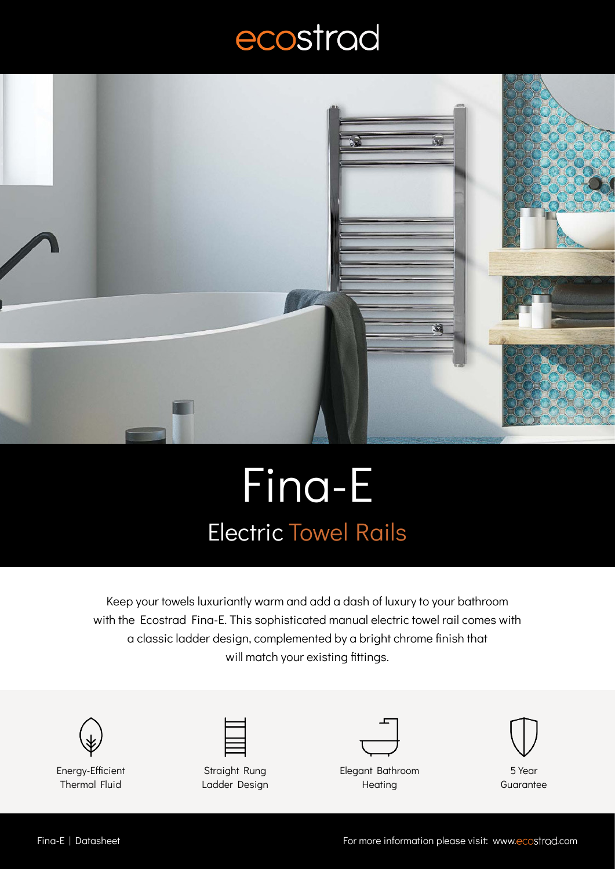## ecostrad



## Fina-E Electric Towel Rails

Keep your towels luxuriantly warm and add a dash of luxury to your bathroom with the Ecostrad Fina-E. This sophisticated manual electric towel rail comes with a classic ladder design, complemented by a bright chrome finish that will match your existing fittings.







Elegant Bathroom **Heating** 



5 Year **Guarantee**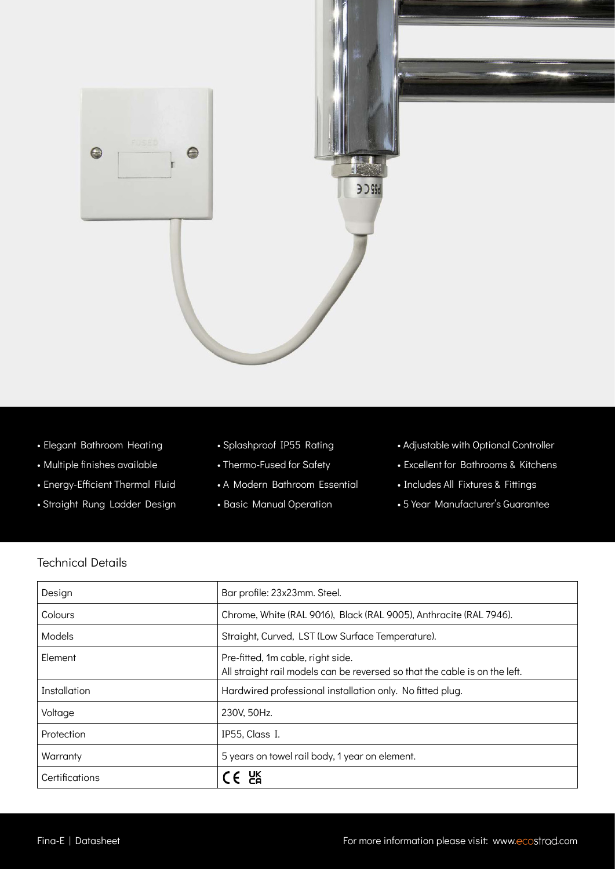

- Elegant Bathroom Heating
- Multiple finishes available
- Energy-Efficient Thermal Fluid
- Straight Rung Ladder Design
- Splashproof IP55 Rating
- Thermo-Fused for Safety
- A Modern Bathroom Essential
- Basic Manual Operation
- Adjustable with Optional Controller
- Excellent for Bathrooms & Kitchens
- Includes All Fixtures & Fittings
- 5 Year Manufacturer's Guarantee

## Technical Details

| Design         | Bar profile: 23x23mm. Steel.                                                                                    |
|----------------|-----------------------------------------------------------------------------------------------------------------|
| Colours        | Chrome, White (RAL 9016), Black (RAL 9005), Anthracite (RAL 7946).                                              |
| Models         | Straight, Curved, LST (Low Surface Temperature).                                                                |
| Element        | Pre-fitted, 1m cable, right side.<br>All straight rail models can be reversed so that the cable is on the left. |
| Installation   | Hardwired professional installation only. No fitted plug.                                                       |
| Voltage        | 230V, 50Hz.                                                                                                     |
| Protection     | IP55, Class I.                                                                                                  |
| Warranty       | 5 years on towel rail body, 1 year on element.                                                                  |
| Certifications | $\epsilon$ are                                                                                                  |